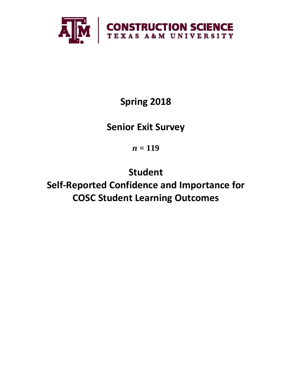

# **Spring 2018**

# **Senior Exit Survey**

*n* **= 119**

**Student Self-Reported Confidence and Importance for COSC Student Learning Outcomes**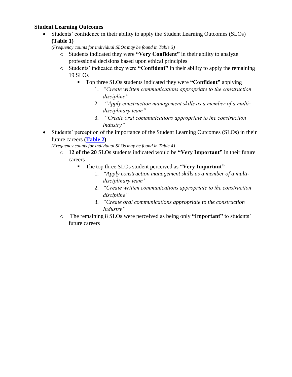## **Student Learning Outcomes**

• Students' confidence in their ability to apply the Student Learning Outcomes (SLOs) **(Table 1)**

*(Frequency counts for individual SLOs may be found in Table 3)*

- o Students indicated they were **"Very Confident"** in their ability to analyze professional decisions based upon ethical principles
- o Students' indicated they were **"Confident"** in their ability to apply the remaining 19 SLOs
	- Top three SLOs students indicated they were **"Confident"** applying
		- 1. *"Create written communications appropriate to the construction discipline"*
		- 2. *"Apply construction management skills as a member of a multidisciplinary team"*
		- 3. *"Create oral communications appropriate to the construction industry"*
- Students' perception of the importance of the Student Learning Outcomes (SLOs) in their future careers **[\(Table 2\)](#page-3-0)**

*(Frequency counts for individual SLOs may be found in Table 4)*

- o **12 of the 20** SLOs students indicated would be **"Very Important"** in their future careers
	- The top three SLOs student perceived as **"Very Important"**
		- 1. *"Apply construction management skills as a member of a multidisciplinary team'*
		- 2. *"Create written communications appropriate to the construction discipline"*
		- 3. *"Create oral communications appropriate to the construction Industry"*
- o The remaining 8 SLOs were perceived as being only **"Important"** to students' future careers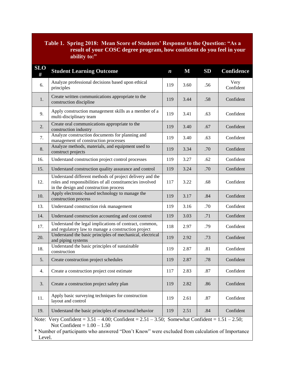## **Table 1. Spring 2018: Mean Score of Students' Response to the Question: "As a result of your COSC degree program, how confident do you feel in your ability to:"**

| <b>SLO</b><br>#                                                                                                                                                                                                                                       | <b>Student Learning Outcome</b>                                                                                                                                 | $\boldsymbol{n}$ | $\mathbf M$ | SD  | <b>Confidence</b> |  |  |
|-------------------------------------------------------------------------------------------------------------------------------------------------------------------------------------------------------------------------------------------------------|-----------------------------------------------------------------------------------------------------------------------------------------------------------------|------------------|-------------|-----|-------------------|--|--|
| 6.                                                                                                                                                                                                                                                    | Analyze professional decisions based upon ethical<br>principles                                                                                                 | 119              | 3.60        | .56 | Very<br>Confident |  |  |
| 1.                                                                                                                                                                                                                                                    | Create written communications appropriate to the<br>construction discipline                                                                                     | 119              | 3.44        | .58 | Confident         |  |  |
| 9.                                                                                                                                                                                                                                                    | Apply construction management skills as a member of a<br>119<br>multi-disciplinary team                                                                         |                  | 3.41        | .63 | Confident         |  |  |
| 2.                                                                                                                                                                                                                                                    | Create oral communications appropriate to the<br>construction industry                                                                                          |                  | 3.40        | .67 | Confident         |  |  |
| 7.                                                                                                                                                                                                                                                    | Analyze construction documents for planning and<br>management of construction processes                                                                         | 119              | 3.40        | .63 | Confident         |  |  |
| 8.                                                                                                                                                                                                                                                    | Analyze methods, materials, and equipment used to<br>construct projects                                                                                         | 119              | 3.34        | .70 | Confident         |  |  |
| 16.                                                                                                                                                                                                                                                   | Understand construction project control processes                                                                                                               | 119              | 3.27        | .62 | Confident         |  |  |
| 15.                                                                                                                                                                                                                                                   | Understand construction quality assurance and control                                                                                                           | 119              | 3.24        | .70 | Confident         |  |  |
| 12.                                                                                                                                                                                                                                                   | Understand different methods of project delivery and the<br>roles and responsibilities of all constituencies involved<br>in the design and construction process |                  | 3.22        | .68 | Confident         |  |  |
| 10.                                                                                                                                                                                                                                                   | Apply electronic-based technology to manage the<br>construction process                                                                                         |                  | 3.17        | .84 | Confident         |  |  |
| 13.                                                                                                                                                                                                                                                   | Understand construction risk management                                                                                                                         | 119              | 3.16        | .70 | Confident         |  |  |
| 14.                                                                                                                                                                                                                                                   | Understand construction accounting and cost control                                                                                                             | 119              | 3.03        | .71 | Confident         |  |  |
| 17.                                                                                                                                                                                                                                                   | Understand the legal implications of contract, common,<br>and regulatory law to manage a construction project                                                   |                  | 2.97        | .79 | Confident         |  |  |
| 20.                                                                                                                                                                                                                                                   | Understand the basic principles of mechanical, electrical<br>and piping systems                                                                                 | 119              | 2.92        | .73 | Confident         |  |  |
| 18.                                                                                                                                                                                                                                                   | Understand the basic principles of sustainable<br>construction                                                                                                  | 119              | 2.87        | .81 | Confident         |  |  |
| 5.                                                                                                                                                                                                                                                    | Create construction project schedules                                                                                                                           | 119              | 2.87        | .78 | Confident         |  |  |
| 4.                                                                                                                                                                                                                                                    | Create a construction project cost estimate                                                                                                                     | 117              | 2.83        | .87 | Confident         |  |  |
| 3.                                                                                                                                                                                                                                                    | Create a construction project safety plan                                                                                                                       |                  | 2.82        | .86 | Confident         |  |  |
| 11.                                                                                                                                                                                                                                                   | Apply basic surveying techniques for construction<br>layout and control                                                                                         |                  | 2.61        | .87 | Confident         |  |  |
| 19.                                                                                                                                                                                                                                                   | Understand the basic principles of structural behavior                                                                                                          | 119              | 2.51        | .84 | Confident         |  |  |
| Note: Very Confident = $3.51 - 4.00$ ; Confident = $2.51 - 3.50$ ; Somewhat Confident = $1.51 - 2.50$ ;<br>Not Confident = $1.00 - 1.50$<br>* Number of participants who answered "Don't Know" were excluded from calculation of Importance<br>Level. |                                                                                                                                                                 |                  |             |     |                   |  |  |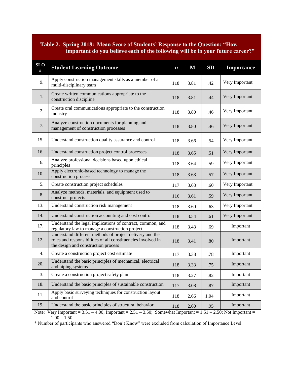## <span id="page-3-0"></span>**Table 2. Spring 2018: Mean Score of Students' Response to the Question: "How important do you believe each of the following will be in your future career?"**

| <b>SLO</b><br>#                                                                                                                          | <b>Student Learning Outcome</b>                                                                                                                                 | $\boldsymbol{n}$ | M    | SD   | <b>Importance</b> |  |  |  |
|------------------------------------------------------------------------------------------------------------------------------------------|-----------------------------------------------------------------------------------------------------------------------------------------------------------------|------------------|------|------|-------------------|--|--|--|
| 9.                                                                                                                                       | Apply construction management skills as a member of a<br>multi-disciplinary team                                                                                | 118              | 3.81 | .42  | Very Important    |  |  |  |
| 1.                                                                                                                                       | Create written communications appropriate to the<br>construction discipline                                                                                     | 118              | 3.81 | .44  | Very Important    |  |  |  |
| 2.                                                                                                                                       | Create oral communications appropriate to the construction<br>118<br>industry                                                                                   |                  | 3.80 | .46  | Very Important    |  |  |  |
| 7.                                                                                                                                       | Analyze construction documents for planning and<br>management of construction processes                                                                         |                  | 3.80 | .46  | Very Important    |  |  |  |
| 15.                                                                                                                                      | Understand construction quality assurance and control                                                                                                           | 118              | 3.66 | .54  | Very Important    |  |  |  |
| 16.                                                                                                                                      | Understand construction project control processes                                                                                                               | 118              | 3.65 | .51  | Very Important    |  |  |  |
| 6.                                                                                                                                       | Analyze professional decisions based upon ethical<br>principles                                                                                                 | 118              | 3.64 | .59  | Very Important    |  |  |  |
| 10.                                                                                                                                      | Apply electronic-based technology to manage the<br>construction process                                                                                         | 118              | 3.63 | .57  | Very Important    |  |  |  |
| 5.                                                                                                                                       | Create construction project schedules                                                                                                                           |                  | 3.63 | .60  | Very Important    |  |  |  |
| 8.                                                                                                                                       | Analyze methods, materials, and equipment used to<br>construct projects                                                                                         |                  | 3.61 | .59  | Very Important    |  |  |  |
| 13.                                                                                                                                      | Understand construction risk management                                                                                                                         |                  | 3.60 | .63  | Very Important    |  |  |  |
| 14.                                                                                                                                      | Understand construction accounting and cost control                                                                                                             |                  | 3.54 | .61  | Very Important    |  |  |  |
| 17.                                                                                                                                      | Understand the legal implications of contract, common, and<br>regulatory law to manage a construction project                                                   |                  | 3.43 | .69  | Important         |  |  |  |
| 12.                                                                                                                                      | Understand different methods of project delivery and the<br>roles and responsibilities of all constituencies involved in<br>the design and construction process | 118              | 3.41 | .80  | Important         |  |  |  |
| 4.                                                                                                                                       | Create a construction project cost estimate                                                                                                                     | 117              | 3.38 | .78  | Important         |  |  |  |
| 20.                                                                                                                                      | Understand the basic principles of mechanical, electrical<br>and piping systems                                                                                 |                  | 3.33 | .75  | Important         |  |  |  |
| 3.                                                                                                                                       | Create a construction project safety plan                                                                                                                       |                  | 3.27 | .82  | Important         |  |  |  |
| 18.                                                                                                                                      | Understand the basic principles of sustainable construction                                                                                                     |                  | 3.08 | .87  | Important         |  |  |  |
| 11.                                                                                                                                      | Apply basic surveying techniques for construction layout<br>and control                                                                                         |                  | 2.66 | 1.04 | Important         |  |  |  |
| 19.                                                                                                                                      | Understand the basic principles of structural behavior                                                                                                          |                  | 2.60 | .95  | Important         |  |  |  |
| Note: Very Important = $3.51 - 4.00$ ; Important = $2.51 - 3.50$ ; Somewhat Important = $1.51 - 2.50$ ; Not Important =<br>$1.00 - 1.50$ |                                                                                                                                                                 |                  |      |      |                   |  |  |  |
| * Number of participants who answered "Don't Know" were excluded from calculation of Importance Level.                                   |                                                                                                                                                                 |                  |      |      |                   |  |  |  |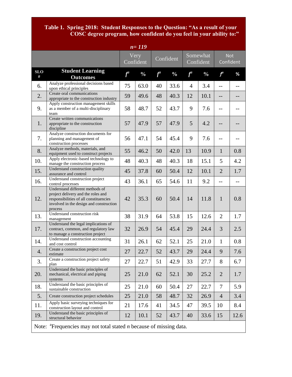#### **Table 1. Spring 2018: Student Responses to the Question: "As a result of your COSC degree program, how confident do you feel in your ability to:"**

| $n = 119$                                                                                      |                                                                                                                                                                       |                   |               |           |               |                       |               |                         |      |
|------------------------------------------------------------------------------------------------|-----------------------------------------------------------------------------------------------------------------------------------------------------------------------|-------------------|---------------|-----------|---------------|-----------------------|---------------|-------------------------|------|
|                                                                                                |                                                                                                                                                                       | Very<br>Confident |               | Confident |               | Somewhat<br>Confident |               | <b>Not</b><br>Confident |      |
| <b>SLO</b><br>#                                                                                | <b>Student Learning</b><br><b>Outcomes</b>                                                                                                                            | $f^a$             | $\frac{0}{0}$ | $f^a$     | $\frac{0}{0}$ | $f^a$                 | $\frac{0}{0}$ | $f^a$                   | %    |
| 6.                                                                                             | Analyze professional decisions based<br>upon ethical principles                                                                                                       | 75                | 63.0          | 40        | 33.6          | 4                     | 3.4           | $-$                     | --   |
| 2.                                                                                             | Create oral communications<br>appropriate to the construction industry                                                                                                | 59                | 49.6          | 48        | 40.3          | 12                    | 10.1          | $-$                     |      |
| 9.                                                                                             | Apply construction management skills<br>as a member of a multi-disciplinary<br>team                                                                                   | 58                | 48.7          | 52        | 43.7          | 9                     | 7.6           | $-$                     |      |
| 1.                                                                                             | Create written communications<br>appropriate to the construction<br>discipline                                                                                        | 57                | 47.9          | 57        | 47.9          | 5                     | 4.2           |                         |      |
| 7.                                                                                             | Analyze construction documents for<br>planning and management of<br>construction processes                                                                            | 56                | 47.1          | 54        | 45.4          | 9                     | 7.6           | $-$                     |      |
| 8.                                                                                             | Analyze methods, materials, and<br>equipment used to construct projects                                                                                               | 55                | 46.2          | 50        | 42.0          | 13                    | 10.9          | $\mathbf{1}$            | 0.8  |
| 10.                                                                                            | Apply electronic-based technology to<br>manage the construction process                                                                                               | 48                | 40.3          | 48        | 40.3          | 18                    | 15.1          | 5                       | 4.2  |
| 15.                                                                                            | Understand construction quality<br>assurance and control                                                                                                              | 45                | 37.8          | 60        | 50.4          | 12                    | 10.1          | $\overline{2}$          | 1.7  |
| 16.                                                                                            | Understand construction project<br>control processes                                                                                                                  | 43                | 36.1          | 65        | 54.6          | 11                    | 9.2           | $-$                     | --   |
| 12.                                                                                            | Understand different methods of<br>project delivery and the roles and<br>responsibilities of all constituencies<br>involved in the design and construction<br>process | 42                | 35.3          | 60        | 50.4          | 14                    | 11.8          | $\mathbf{1}$            | 0.8  |
| 13.                                                                                            | Understand construction risk<br>management                                                                                                                            | 38                | 31.9          | 64        | 53.8          | 15                    | 12.6          | $\overline{2}$          | 1.7  |
| 17.                                                                                            | Understand the legal implications of<br>contract, common, and regulatory law<br>to manage a construction project                                                      | 32                | 26.9          | 54        | 45.4          | 29                    | 24.4          | 3                       | 2.5  |
| 14.                                                                                            | Understand construction accounting<br>and cost control                                                                                                                | 31                | 26.1          | 62        | 52.1          | 25                    | 21.0          | $\mathbf{1}$            | 0.8  |
| 4.                                                                                             | Create a construction project cost<br>estimate                                                                                                                        | 27                | 22.7          | 52        | 43.7          | 29                    | 24.4          | 9                       | 7.6  |
| 3.                                                                                             | Create a construction project safety<br>plan                                                                                                                          | 27                | 22.7          | 51        | 42.9          | 33                    | 27.7          | 8                       | 6.7  |
| 20.                                                                                            | Understand the basic principles of<br>mechanical, electrical and piping<br>systems                                                                                    | 25                | 21.0          | 62        | 52.1          | 30                    | 25.2          | $\overline{2}$          | 1.7  |
| 18.                                                                                            | Understand the basic principles of<br>sustainable construction                                                                                                        | 25                | 21.0          | 60        | 50.4          | 27                    | 22.7          | $\overline{7}$          | 5.9  |
| 5.                                                                                             | Create construction project schedules                                                                                                                                 | 25                | 21.0          | 58        | 48.7          | 32                    | 26.9          | $\overline{4}$          | 3.4  |
| 11.                                                                                            | Apply basic surveying techniques for<br>construction layout and control                                                                                               | 21                | 17.6          | 41        | 34.5          | 47                    | 39.5          | 10                      | 8.4  |
| 19.                                                                                            | Understand the basic principles of<br>structural behavior                                                                                                             | 12                | 10.1          | 52        | 43.7          | 40                    | 33.6          | 15                      | 12.6 |
| Note: $\alpha$ <sup>a</sup> Frequencies may not total stated <i>n</i> because of missing data. |                                                                                                                                                                       |                   |               |           |               |                       |               |                         |      |